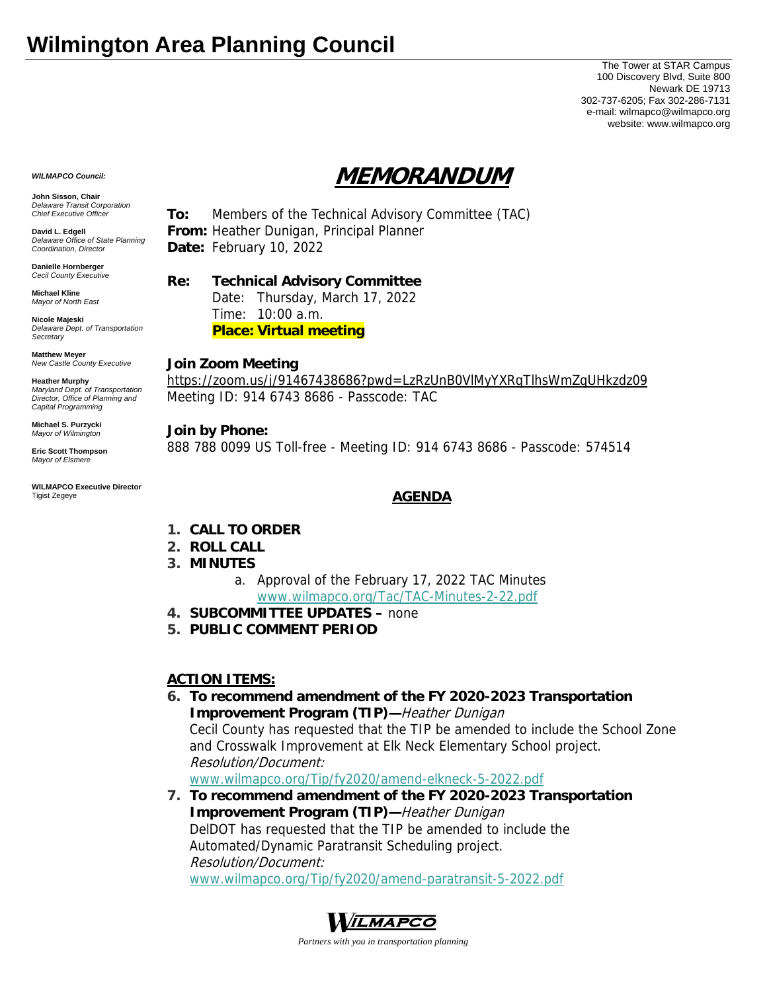## **Wilmington Area Planning Council**

The Tower at STAR Campus 100 Discovery Blvd, Suite 800 Newark DE 19713 302-737-6205; Fax 302-286-7131 e-mail: wilmapco@wilmapco.org website: www.wilmapco.org

# **MEMORANDUM**

**John Sisson, Chair**  *Delaware Transit Corporation Chief Executive Officer*

*WILMAPCO Council:*

**David L. Edgell**  *Delaware Office of State Planning Coordination, Director*

**Danielle Hornberger** *Cecil County Executive* 

**Michael Kline**  *Mayor of North East* 

**Nicole Majeski**  *Delaware Dept. of Transportation Secretary*

**Matthew Meyer**  *New Castle County Executive* 

**Heather Murphy**  *Maryland Dept. of Transportation Director, Office of Planning and Capital Programming* 

**Michael S. Purzycki**  *Mayor of Wilmington*

**Eric Scott Thompson**  *Mayor of Elsmere* 

**WILMAPCO Executive Director**  Tigist Zegeye

**To:** Members of the Technical Advisory Committee (TAC) **From:** Heather Dunigan, Principal Planner **Date:** February 10, 2022

**Re: Technical Advisory Committee**

 Date: Thursday, March 17, 2022 Time: 10:00 a.m. **Place: Virtual meeting**

#### **Join Zoom Meeting**

https://zoom.us/j/91467438686?pwd=LzRzUnB0VlMyYXRqTlhsWmZqUHkzdz09 Meeting ID: 914 6743 8686 - Passcode: TAC

#### **Join by Phone:**

888 788 0099 US Toll-free - Meeting ID: 914 6743 8686 - Passcode: 574514

### **AGENDA**

- **1. CALL TO ORDER**
- **2. ROLL CALL**
- **3. MINUTES**
	- a. Approval of the February 17, 2022 TAC Minutes www.wilmapco.org/Tac/TAC-Minutes-2-22.pdf
- **4. SUBCOMMITTEE UPDATES** none
- **5. PUBLIC COMMENT PERIOD**

### **ACTION ITEMS:**

**6. To recommend amendment of the FY 2020-2023 Transportation Improvement Program (TIP)—**Heather Dunigan Cecil County has requested that the TIP be amended to include the School Zone and Crosswalk Improvement at Elk Neck Elementary School project. Resolution/Document:

www.wilmapco.org/Tip/fy2020/amend-elkneck-5-2022.pdf

**7. To recommend amendment of the FY 2020-2023 Transportation Improvement Program (TIP)—**Heather Dunigan DelDOT has requested that the TIP be amended to include the Automated/Dynamic Paratransit Scheduling project. Resolution/Document: www.wilmapco.org/Tip/fy2020/amend-paratransit-5-2022.pdf



*Partners with you in transportation planning*